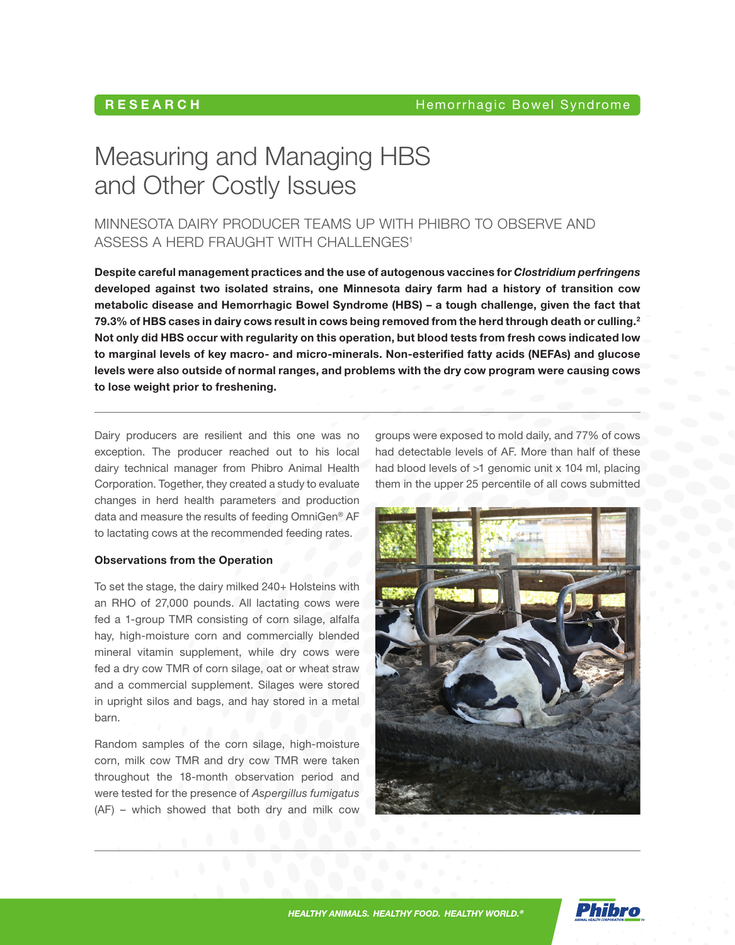# RESEARCH

# Measuring and Managing HBS and Other Costly Issues

MINNESOTA DAIRY PRODUCER TEAMS UP WITH PHIBRO TO OBSERVE AND ASSESS A HERD FRAUGHT WITH CHALLENGES<sup>1</sup>

Despite careful management practices and the use of autogenous vaccines for *Clostridium perfringens* developed against two isolated strains, one Minnesota dairy farm had a history of transition cow metabolic disease and Hemorrhagic Bowel Syndrome (HBS) – a tough challenge, given the fact that 79.3% of HBS cases in dairy cows result in cows being removed from the herd through death or culling.<sup>2</sup> Not only did HBS occur with regularity on this operation, but blood tests from fresh cows indicated low to marginal levels of key macro- and micro-minerals. Non-esterified fatty acids (NEFAs) and glucose levels were also outside of normal ranges, and problems with the dry cow program were causing cows to lose weight prior to freshening.

Dairy producers are resilient and this one was no exception. The producer reached out to his local dairy technical manager from Phibro Animal Health Corporation. Together, they created a study to evaluate changes in herd health parameters and production data and measure the results of feeding OmniGen® AF to lactating cows at the recommended feeding rates.

#### Observations from the Operation

To set the stage, the dairy milked 240+ Holsteins with an RHO of 27,000 pounds. All lactating cows were fed a 1-group TMR consisting of corn silage, alfalfa hay, high-moisture corn and commercially blended mineral vitamin supplement, while dry cows were fed a dry cow TMR of corn silage, oat or wheat straw and a commercial supplement. Silages were stored in upright silos and bags, and hay stored in a metal barn.

Random samples of the corn silage, high-moisture corn, milk cow TMR and dry cow TMR were taken throughout the 18-month observation period and were tested for the presence of *Aspergillus fumigatus* (AF) – which showed that both dry and milk cow groups were exposed to mold daily, and 77% of cows had detectable levels of AF. More than half of these had blood levels of >1 genomic unit x 104 ml, placing them in the upper 25 percentile of all cows submitted